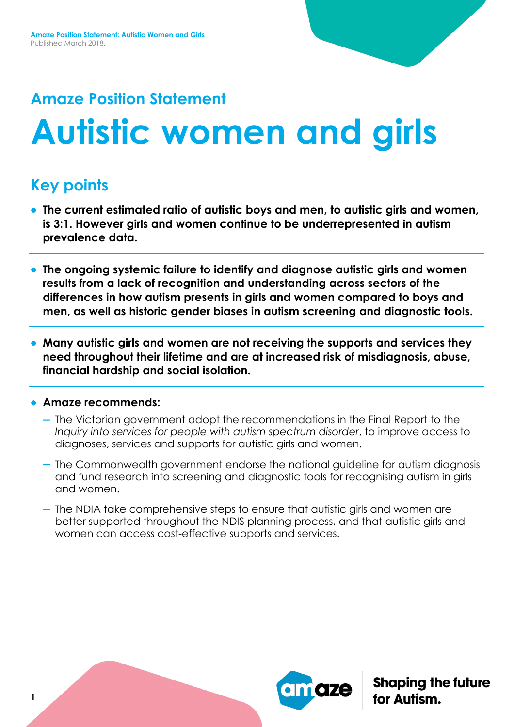# **Amaze Position Statement Autistic women and girls**

### **Key points**

- **The current estimated ratio of autistic boys and men, to autistic girls and women, is 3:1. However girls and women continue to be underrepresented in autism prevalence data.**
- **The ongoing systemic failure to identify and diagnose autistic girls and women results from a lack of recognition and understanding across sectors of the differences in how autism presents in girls and women compared to boys and men, as well as historic gender biases in autism screening and diagnostic tools.**
- **Many autistic girls and women are not receiving the supports and services they need throughout their lifetime and are at increased risk of misdiagnosis, abuse, financial hardship and social isolation.**

#### • **Amaze recommends:**

- − The Victorian government adopt the recommendations in the Final Report to the *Inquiry into services for people with autism spectrum disorder*, to improve access to diagnoses, services and supports for autistic girls and women.
- − The Commonwealth government endorse the national guideline for autism diagnosis and fund research into screening and diagnostic tools for recognising autism in girls and women.
- − The NDIA take comprehensive steps to ensure that autistic girls and women are better supported throughout the NDIS planning process, and that autistic girls and women can access cost-effective supports and services.

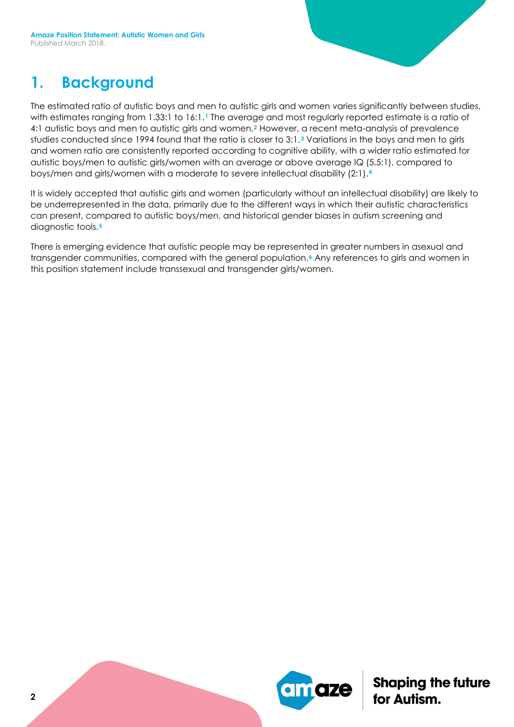### **1. Background**

The estimated ratio of autistic boys and men to autistic girls and women varies significantly between studies, with estimates ranging from 1.33:1 to 16:1.**[1](#page-10-0)** The average and most regularly reported estimate is a ratio of 4:1 autistic boys and men to autistic girls and women.**[2](#page-10-1)** However, a recent meta-analysis of prevalence studies conducted since 1994 found that the ratio is closer to 3:1.**[3](#page-10-2)** Variations in the boys and men to girls and women ratio are consistently reported according to cognitive ability, with a wider ratio estimated for autistic boys/men to autistic girls/women with an average or above average IQ (5.5:1), compared to boys/men and girls/women with a moderate to severe intellectual disability (2:1).**[4](#page-10-3)**

It is widely accepted that autistic girls and women (particularly without an intellectual disability) are likely to be underrepresented in the data, primarily due to the different ways in which their autistic characteristics can present, compared to autistic boys/men, and historical gender biases in autism screening and diagnostic tools.**[5](#page-10-4)**

There is emerging evidence that autistic people may be represented in greater numbers in asexual and transgender communities, compared with the general population.**[6](#page-10-5)** Any references to girls and women in this position statement include transsexual and transgender girls/women.

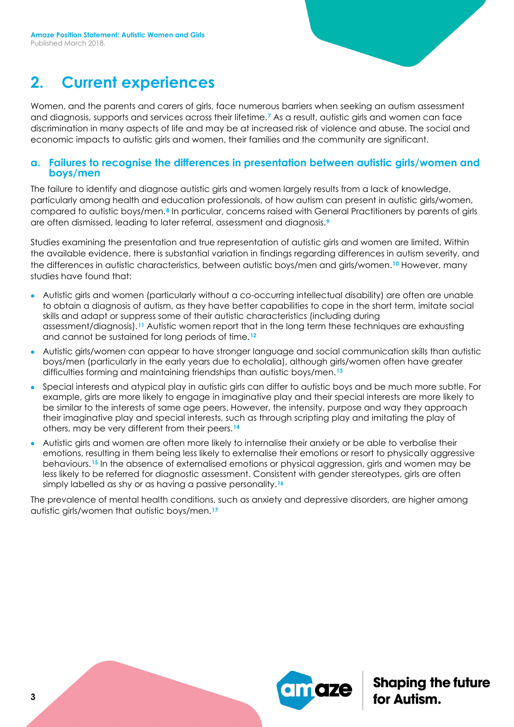### **2. Current experiences**

Women, and the parents and carers of girls, face numerous barriers when seeking an autism assessment and diagnosis, supports and services across their lifetime.**[7](#page-10-6)** As a result, autistic girls and women can face discrimination in many aspects of life and may be at increased risk of violence and abuse. The social and economic impacts to autistic girls and women, their families and the community are significant.

#### **a. Failures to recognise the differences in presentation between autistic girls/women and boys/men**

The failure to identify and diagnose autistic girls and women largely results from a lack of knowledge, particularly among health and education professionals, of how autism can present in autistic girls/women, compared to autistic boys/men.**[8](#page-10-7)** In particular, concerns raised with General Practitioners by parents of girls are often dismissed, leading to later referral, assessment and diagnosis.**[9](#page-10-8)**

Studies examining the presentation and true representation of autistic girls and women are limited. Within the available evidence, there is substantial variation in findings regarding differences in autism severity, and the differences in autistic characteristics, between autistic boys/men and girls/women.**[10](#page-10-9)** However, many studies have found that:

- Autistic girls and women (particularly without a co-occurring intellectual disability) are often are unable to obtain a diagnosis of autism, as they have better capabilities to cope in the short term, imitate social skills and adapt or suppress some of their autistic characteristics (including during assessment/diagnosis).**[11](#page-10-10)** Autistic women report that in the long term these techniques are exhausting and cannot be sustained for long periods of time.**[12](#page-10-11)**
- Autistic girls/women can appear to have stronger language and social communication skills than autistic boys/men (particularly in the early years due to echolalia), although girls/women often have greater difficulties forming and maintaining friendships than autistic boys/men.**[13](#page-10-12)**
- Special interests and atypical play in autistic girls can differ to autistic boys and be much more subtle. For example, girls are more likely to engage in imaginative play and their special interests are more likely to be similar to the interests of same age peers. However, the intensity, purpose and way they approach their imaginative play and special interests, such as through scripting play and imitating the play of others, may be very different from their peers.**[14](#page-10-13)**
- Autistic girls and women are often more likely to internalise their anxiety or be able to verbalise their emotions, resulting in them being less likely to externalise their emotions or resort to physically aggressive behaviours.**[15](#page-10-14)** In the absence of externalised emotions or physical aggression, girls and women may be less likely to be referred for diagnostic assessment. Consistent with gender stereotypes, girls are often simply labelled as shy or as having a passive personality.**[16](#page-10-15)**

The prevalence of mental health conditions, such as anxiety and depressive disorders, are higher among autistic girls/women that autistic boys/men.**[17](#page-10-16)**

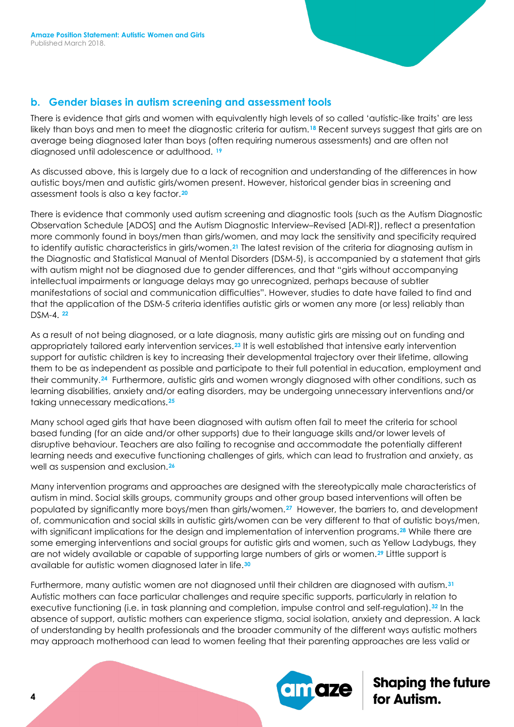### **b. Gender biases in autism screening and assessment tools**

There is evidence that girls and women with equivalently high levels of so called 'autistic-like traits' are less likely than boys and men to meet the diagnostic criteria for autism.**[18](#page-10-17)** Recent surveys suggest that girls are on average being diagnosed later than boys (often requiring numerous assessments) and are often not diagnosed until adolescence or adulthood. **[19](#page-11-0)**

As discussed above, this is largely due to a lack of recognition and understanding of the differences in how autistic boys/men and autistic girls/women present. However, historical gender bias in screening and assessment tools is also a key factor.**[20](#page-11-1)**

There is evidence that commonly used autism screening and diagnostic tools (such as the Autism Diagnostic Observation Schedule [ADOS] and the Autism Diagnostic Interview–Revised [ADI-R]), reflect a presentation more commonly found in boys/men than girls/women, and may lack the sensitivity and specificity required to identify autistic characteristics in girls/women.**[21](#page-11-2)** The latest revision of the criteria for diagnosing autism in the Diagnostic and Statistical Manual of Mental Disorders (DSM-5), is accompanied by a statement that girls with autism might not be diagnosed due to gender differences, and that "girls without accompanying intellectual impairments or language delays may go unrecognized, perhaps because of subtler manifestations of social and communication difficulties". However, studies to date have failed to find and that the application of the DSM-5 criteria identifies autistic girls or women any more (or less) reliably than DSM-4. **[22](#page-11-3)**

As a result of not being diagnosed, or a late diagnosis, many autistic girls are missing out on funding and appropriately tailored early intervention services.**[23](#page-11-4)** It is well established that intensive early intervention support for autistic children is key to increasing their developmental trajectory over their lifetime, allowing them to be as independent as possible and participate to their full potential in education, employment and their community.**[24](#page-11-5)** Furthermore, autistic girls and women wrongly diagnosed with other conditions, such as learning disabilities, anxiety and/or eating disorders, may be undergoing unnecessary interventions and/or taking unnecessary medications.**[25](#page-11-6)**

Many school aged girls that have been diagnosed with autism often fail to meet the criteria for school based funding (for an aide and/or other supports) due to their language skills and/or lower levels of disruptive behaviour. Teachers are also failing to recognise and accommodate the potentially different learning needs and executive functioning challenges of girls, which can lead to frustration and anxiety, as well as suspension and exclusion.**[26](#page-11-7)**

Many intervention programs and approaches are designed with the stereotypically male characteristics of autism in mind. Social skills groups, community groups and other group based interventions will often be populated by significantly more boys/men than girls/women.**[27](#page-11-8)** However, the barriers to, and development of, communication and social skills in autistic girls/women can be very different to that of autistic boys/men, with significant implications for the design and implementation of intervention programs.**[28](#page-11-9)** While there are some emerging interventions and social groups for autistic girls and women, such as Yellow Ladybugs, they are not widely available or capable of supporting large numbers of girls or women.**[29](#page-11-10)** Little support is available for autistic women diagnosed later in life.**[30](#page-11-11)**

Furthermore, many autistic women are not diagnosed until their children are diagnosed with autism.**[31](#page-11-12)** Autistic mothers can face particular challenges and require specific supports, particularly in relation to executive functioning (i.e. in task planning and completion, impulse control and self-regulation).**[32](#page-11-13)** In the absence of support, autistic mothers can experience stigma, social isolation, anxiety and depression. A lack of understanding by health professionals and the broader community of the different ways autistic mothers may approach motherhood can lead to women feeling that their parenting approaches are less valid or

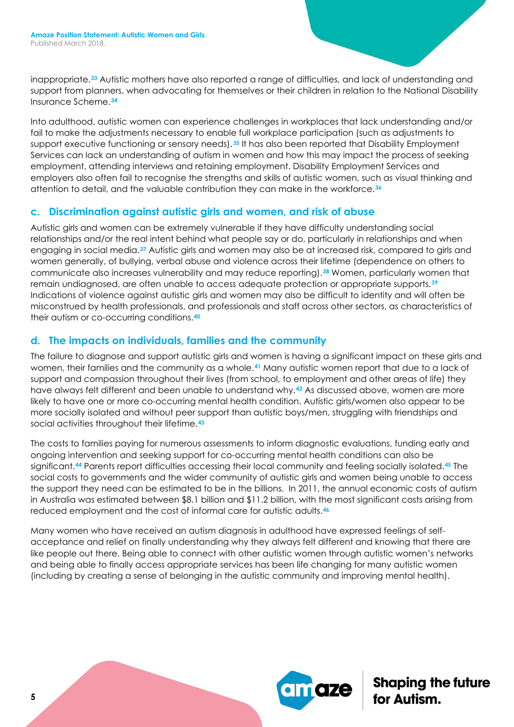inappropriate.**[33](#page-11-14)** Autistic mothers have also reported a range of difficulties, and lack of understanding and support from planners, when advocating for themselves or their children in relation to the National Disability Insurance Scheme.**[34](#page-11-15)**

Into adulthood, autistic women can experience challenges in workplaces that lack understanding and/or fail to make the adjustments necessary to enable full workplace participation (such as adjustments to support executive functioning or sensory needs).**[35](#page-11-16)** It has also been reported that Disability Employment Services can lack an understanding of autism in women and how this may impact the process of seeking employment, attending interviews and retaining employment. Disability Employment Services and employers also often fail to recognise the strengths and skills of autistic women, such as visual thinking and attention to detail, and the valuable contribution they can make in the workforce.**[36](#page-11-17)**

#### **c. Discrimination against autistic girls and women, and risk of abuse**

Autistic girls and women can be extremely vulnerable if they have difficulty understanding social relationships and/or the real intent behind what people say or do, particularly in relationships and when engaging in social media.**[37](#page-11-18)** Autistic girls and women may also be at increased risk, compared to girls and women generally, of bullying, verbal abuse and violence across their lifetime (dependence on others to communicate also increases vulnerability and may reduce reporting).**[38](#page-11-0)** Women, particularly women that remain undiagnosed, are often unable to access adequate protection or appropriate supports.**[39](#page-11-19)** Indications of violence against autistic girls and women may also be difficult to identity and will often be misconstrued by health professionals, and professionals and staff across other sectors, as characteristics of their autism or co-occurring conditions.**[40](#page-11-20)**

#### **d. The impacts on individuals, families and the community**

The failure to diagnose and support autistic girls and women is having a significant impact on these girls and women, their families and the community as a whole.**[41](#page-11-21)** Many autistic women report that due to a lack of support and compassion throughout their lives (from school, to employment and other areas of life) they have always felt different and been unable to understand why.**[42](#page-11-22)** As discussed above, women are more likely to have one or more co-occurring mental health condition. Autistic girls/women also appear to be more socially isolated and without peer support than autistic boys/men, struggling with friendships and social activities throughout their lifetime.**[43](#page-11-23)**

The costs to families paying for numerous assessments to inform diagnostic evaluations, funding early and ongoing intervention and seeking support for co-occurring mental health conditions can also be significant.**[44](#page-11-24)** Parents report difficulties accessing their local community and feeling socially isolated.**[45](#page-11-25)** The social costs to governments and the wider community of autistic girls and women being unable to access the support they need can be estimated to be in the billions. In 2011, the annual economic costs of autism in Australia was estimated between \$8.1 billion and \$11.2 billion, with the most significant costs arising from reduced employment and the cost of informal care for autistic adults.**[46](#page-11-26)**

Many women who have received an autism diagnosis in adulthood have expressed feelings of selfacceptance and relief on finally understanding why they always felt different and knowing that there are like people out there. Being able to connect with other autistic women through autistic women's networks and being able to finally access appropriate services has been life changing for many autistic women (including by creating a sense of belonging in the autistic community and improving mental health).

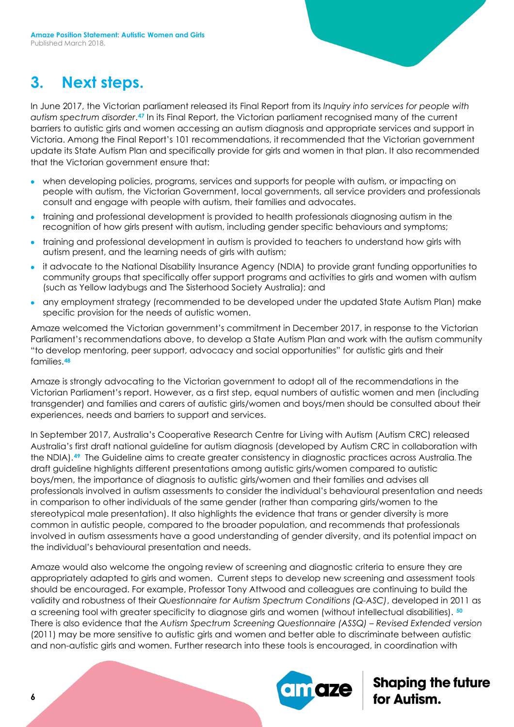### **3. Next steps.**

In June 2017, the Victorian parliament released its Final Report from its *Inquiry into services for people with autism spectrum disorder*.**[47](#page-11-27)** In its Final Report, the Victorian parliament recognised many of the current barriers to autistic girls and women accessing an autism diagnosis and appropriate services and support in Victoria. Among the Final Report's 101 recommendations, it recommended that the Victorian government update its State Autism Plan and specifically provide for girls and women in that plan. It also recommended that the Victorian government ensure that:

- when developing policies, programs, services and supports for people with autism, or impacting on people with autism, the Victorian Government, local governments, all service providers and professionals consult and engage with people with autism, their families and advocates.
- training and professional development is provided to health professionals diagnosing autism in the recognition of how girls present with autism, including gender specific behaviours and symptoms;
- training and professional development in autism is provided to teachers to understand how girls with autism present, and the learning needs of girls with autism;
- it advocate to the National Disability Insurance Agency (NDIA) to provide grant funding opportunities to community groups that specifically offer support programs and activities to girls and women with autism (such as Yellow ladybugs and The Sisterhood Society Australia); and
- any employment strategy (recommended to be developed under the updated State Autism Plan) make specific provision for the needs of autistic women.

Amaze welcomed the Victorian government's commitment in December 2017, in response to the Victorian Parliament's recommendations above, to develop a State Autism Plan and work with the autism community "to develop mentoring, peer support, advocacy and social opportunities" for autistic girls and their families.**[48](#page-11-28)**

Amaze is strongly advocating to the Victorian government to adopt all of the recommendations in the Victorian Parliament's report. However, as a first step, equal numbers of autistic women and men (including transgender) and families and carers of autistic girls/women and boys/men should be consulted about their experiences, needs and barriers to support and services.

In September 2017, Australia's Cooperative Research Centre for Living with Autism (Autism CRC) released Australia's first draft national guideline for autism diagnosis (developed by Autism CRC in collaboration with the NDIA).**[49](#page-11-11)** The Guideline aims to create greater consistency in diagnostic practices across Australia. The draft guideline highlights different presentations among autistic girls/women compared to autistic boys/men, the importance of diagnosis to autistic girls/women and their families and advises all professionals involved in autism assessments to consider the individual's behavioural presentation and needs in comparison to other individuals of the same gender (rather than comparing girls/women to the stereotypical male presentation). It also highlights the evidence that trans or gender diversity is more common in autistic people, compared to the broader population, and recommends that professionals involved in autism assessments have a good understanding of gender diversity, and its potential impact on the individual's behavioural presentation and needs.

Amaze would also welcome the ongoing review of screening and diagnostic criteria to ensure they are appropriately adapted to girls and women. Current steps to develop new screening and assessment tools should be encouraged. For example, Professor Tony Attwood and colleagues are continuing to build the validity and robustness of their *Questionnaire for Autism Spectrum Conditions (Q-ASC)*, developed in 2011 as a screening tool with greater specificity to diagnose girls and women (without intellectual disabilities). **[50](#page-11-29)** There is also evidence that the *Autism Spectrum Screening Questionnaire (ASSQ) – Revised Extended version* (2011) may be more sensitive to autistic girls and women and better able to discriminate between autistic and non-autistic girls and women. Further research into these tools is encouraged, in coordination with

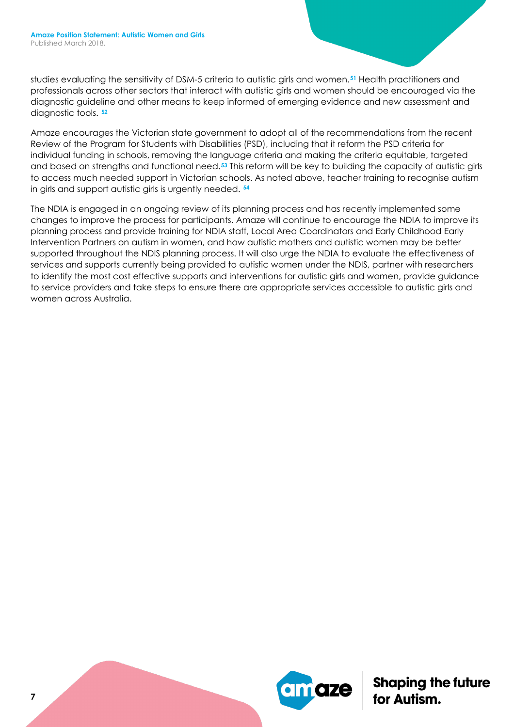studies evaluating the sensitivity of DSM-5 criteria to autistic girls and women.**[51](#page-11-13)** Health practitioners and professionals across other sectors that interact with autistic girls and women should be encouraged via the diagnostic guideline and other means to keep informed of emerging evidence and new assessment and diagnostic tools. **[52](#page-11-30)**

Amaze encourages the Victorian state government to adopt all of the recommendations from the recent Review of the Program for Students with Disabilities (PSD), including that it reform the PSD criteria for individual funding in schools, removing the language criteria and making the criteria equitable, targeted and based on strengths and functional need.**[53](#page-11-31)** This reform will be key to building the capacity of autistic girls to access much needed support in Victorian schools. As noted above, teacher training to recognise autism in girls and support autistic girls is urgently needed. **[54](#page-11-32)**

The NDIA is engaged in an ongoing review of its planning process and has recently implemented some changes to improve the process for participants. Amaze will continue to encourage the NDIA to improve its planning process and provide training for NDIA staff, Local Area Coordinators and Early Childhood Early Intervention Partners on autism in women, and how autistic mothers and autistic women may be better supported throughout the NDIS planning process. It will also urge the NDIA to evaluate the effectiveness of services and supports currently being provided to autistic women under the NDIS, partner with researchers to identify the most cost effective supports and interventions for autistic girls and women, provide guidance to service providers and take steps to ensure there are appropriate services accessible to autistic girls and women across Australia.

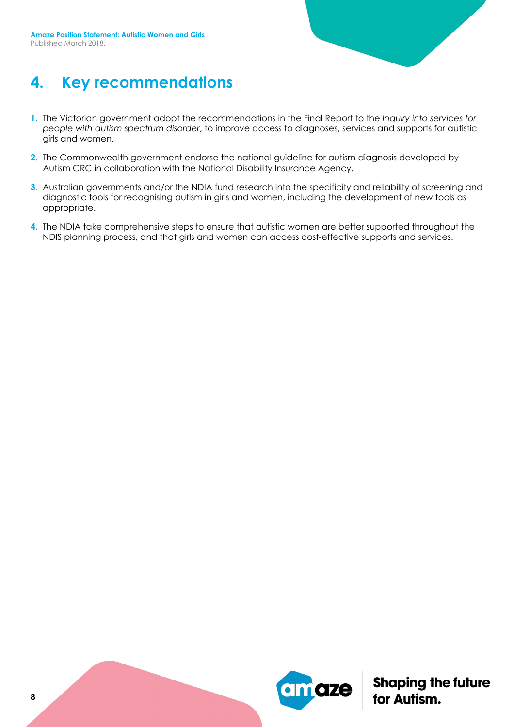

### **4. Key recommendations**

- **1.** The Victorian government adopt the recommendations in the Final Report to the *Inquiry into services for people with autism spectrum disorder*, to improve access to diagnoses, services and supports for autistic girls and women.
- **2.** The Commonwealth government endorse the national guideline for autism diagnosis developed by Autism CRC in collaboration with the National Disability Insurance Agency.
- **3.** Australian governments and/or the NDIA fund research into the specificity and reliability of screening and diagnostic tools for recognising autism in girls and women, including the development of new tools as appropriate.
- **4.** The NDIA take comprehensive steps to ensure that autistic women are better supported throughout the NDIS planning process, and that girls and women can access cost-effective supports and services.

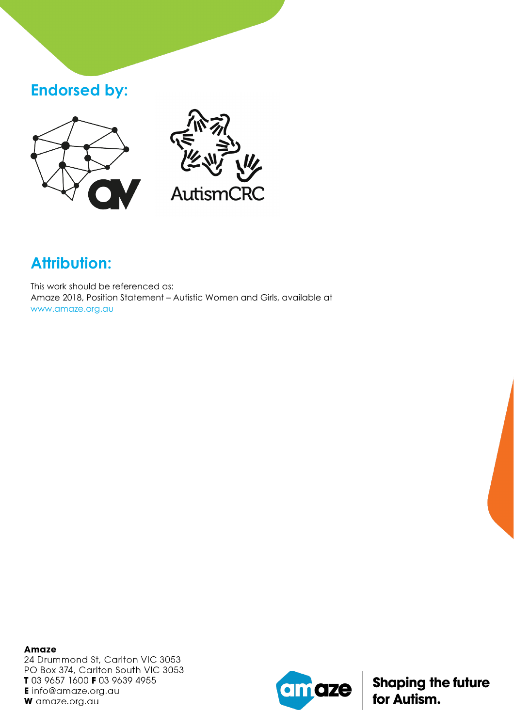### **Endorsed by:**





## **Attribution:**

This work should be referenced as: Amaze 2018, Position Statement – Autistic Women and Girls, available at www.amaze.org.au

**Amaze** 24 Drummond St, Carlton VIC 3053 PO Box 374, Carlton South VIC 3053 T 03 9657 1600 F 03 9639 4955 **E** info@amaze.org.au W amaze.org.au

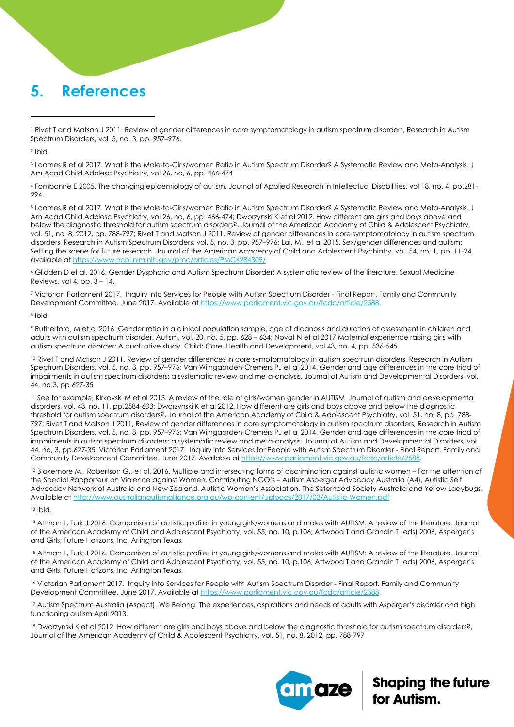### **5. References**

<sup>1</sup> Rivet T and Matson J 2011. Review of gender differences in core symptomatology in autism spectrum disorders, Research in Autism Spectrum Disorders, vol. 5, no. 3, pp. 957–976.

<sup>2</sup> Ibid.

<sup>3</sup> Loomes R et al 2017. What is the Male-to-Girls/women Ratio in Autism Spectrum Disorder? A Systematic Review and Meta-Analysis. J Am Acad Child Adolesc Psychiatry, vol 26, no, 6, pp. 466-474

<sup>4</sup> Fombonne E 2005. The changing epidemiology of autism. Journal of Applied Research in Intellectual Disabilities, vol 18, no. 4, pp.281- 294.

<sup>5</sup> Loomes R et al 2017. What is the Male-to-Girls/women Ratio in Autism Spectrum Disorder? A Systematic Review and Meta-Analysis. J Am Acad Child Adolesc Psychiatry, vol 26, no, 6, pp. 466-474; Dworzynski K et al 2012. How different are girls and boys above and below the diagnostic threshold for autism spectrum disorders?, Journal of the American Academy of Child & Adolescent Psychiatry, vol. 51, no. 8, 2012, pp. 788-797; Rivet T and Matson J 2011. Review of gender differences in core symptomatology in autism spectrum disorders, Research in Autism Spectrum Disorders, vol. 5, no. 3, pp. 957–976; Lai, M., et al 2015. Sex/gender differences and autism: Setting the scene for future research. Journal of the American Academy of Child and Adolescent Psychiatry, vol. 54, no, 1, pp. 11-24, available a[t https://www.ncbi.nlm.nih.gov/pmc/articles/PMC4284309/](https://www.ncbi.nlm.nih.gov/pmc/articles/PMC4284309/)

<sup>6</sup> Glidden D et al. 2016. Gender Dysphoria and Autism Spectrum Disorder: A systematic review of the literature. Sexual Medicine Reviews, vol 4, pp.  $3 - 14$ .

<sup>7</sup> Victorian Parliament 2017. Inquiry into Services for People with Autism Spectrum Disorder - Final Report. Family and Community Development Committee. June 2017. Available a[t https://www.parliament.vic.gov.au/fcdc/article/2588.](https://www.parliament.vic.gov.au/fcdc/article/2588)

<sup>8</sup> Ibid.

<sup>9</sup> Rutherford, M et al 2016. Gender ratio in a clinical population sample, age of diagnosis and duration of assessment in children and adults with autism spectrum disorder. Autism, vol. 20, no. 5, pp. 628 – 634; Novat N et al 2017.Maternal experience raising girls with autism spectrum disorder: A qualitative study. Child: Care, Health and Development, vol.43, no. 4, pp. 536-545.

10 Rivet T and Matson J 2011. Review of gender differences in core symptomatology in autism spectrum disorders, Research in Autism Spectrum Disorders, vol. 5, no. 3, pp. 957–976; Van Wijngaarden-Cremers PJ et al 2014. Gender and age differences in the core triad of impairments in autism spectrum disorders: a systematic review and meta-analysis. Journal of Autism and Developmental Disorders, vol. 44, no.3, pp.627-35

<sup>11</sup> See for example, Kirkovski M et al 2013. A review of the role of girls/women gender in AUTISM. Journal of autism and developmental disorders, vol. 43, no. 11, pp.2584-603; Dworzynski K et al 2012. How different are girls and boys above and below the diagnostic threshold for autism spectrum disorders?, Journal of the American Academy of Child & Adolescent Psychiatry, vol. 51, no. 8, pp. 788- 797; Rivet T and Matson J 2011, Review of gender differences in core symptomatology in autism spectrum disorders, Research in Autism Spectrum Disorders, vol. 5, no. 3, pp. 957–976; Van Wijngaarden-Cremers PJ et al 2014. Gender and age differences in the core triad of impariments in autism spectrum disorders: a systematic review and meta-analysis. Journal of Autism and Developmental Disorders, vol 44, no, 3, pp.627-35; Victorian Parliament 2017. Inquiry into Services for People with Autism Spectrum Disorder - Final Report. Family and Community Development Committee. June 2017. Available a[t https://www.parliament.vic.gov.au/fcdc/article/2588.](https://www.parliament.vic.gov.au/fcdc/article/2588)

<sup>12</sup> Blakemore M., Robertson G., et al. 2016. Multiple and intersecting forms of discrimination against autistic women – For the attention of the Special Rapporteur on Violence against Women. Contributing NGO's – Autism Asperger Advocacy Australia (A4), Autistic Self Advocacy Network of Australia and New Zealand, Autistic Women's Association, The Sisterhood Society Australia and Yellow Ladybugs. Available at<http://www.australianautismalliance.org.au/wp-content/uploads/2017/03/Autistic-Women.pdf>

<sup>13</sup> Ibid.

14 Altman L, Turk J 2016. Comparison of autistic profiles in young girls/womens and males with AUTISM: A review of the literature. Journal of the American Academy of Child and Adolescent Psychiatry, vol. 55, no. 10, p.106; Attwood T and Grandin T (eds) 2006, Asperger's and Girls, Future Horizons, Inc, Arlington Texas.

15 Altman L, Turk J 2016. Comparison of autistic profiles in young girls/womens and males with AUTISM: A review of the literature. Journal of the American Academy of Child and Adolescent Psychiatry, vol. 55, no. 10, p.106; Attwood T and Grandin T (eds) 2006, Asperger's and Girls, Future Horizons, Inc, Arlington Texas.

<sup>16</sup> Victorian Parliament 2017. Inquiry into Services for People with Autism Spectrum Disorder - Final Report. Family and Community Development Committee. June 2017. Available a[t https://www.parliament.vic.gov.au/fcdc/article/2588.](https://www.parliament.vic.gov.au/fcdc/article/2588)

<sup>17</sup> Autism Spectrum Australia (Aspect). We Belong: The experiences, aspirations and needs of adults with Asperger's disorder and high functioning autism April 2013.

18 Dworzynski K et al 2012. How different are girls and boys above and below the diagnostic threshold for autism spectrum disorders?, Journal of the American Academy of Child & Adolescent Psychiatry, vol. 51, no. 8, 2012, pp. 788-797

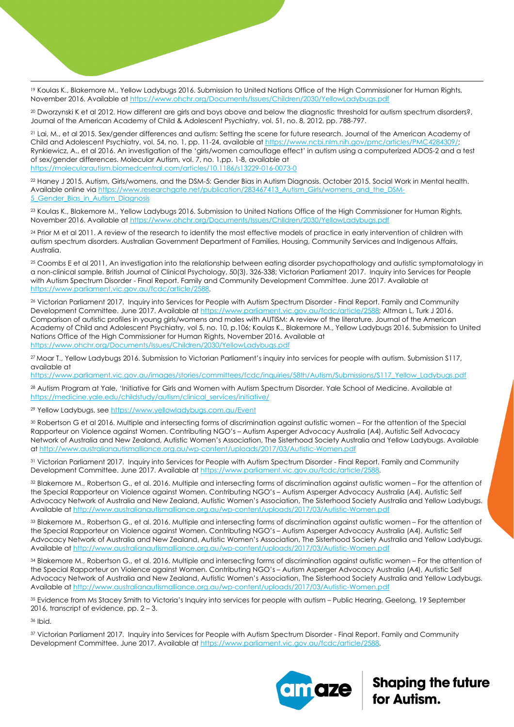<sup>19</sup> Koulas K., Blakemore M., Yellow Ladybugs 2016. Submission to United Nations Office of the High Commissioner for Human Rights, November 2016. Available a[t https://www.ohchr.org/Documents/Issues/Children/2030/YellowLadybugs.pdf](https://www.ohchr.org/Documents/Issues/Children/2030/YellowLadybugs.pdf)

<sup>20</sup> Dworzynski K et al 2012. How different are girls and boys above and below the diagnostic threshold for autism spectrum disorders?, Journal of the American Academy of Child & Adolescent Psychiatry, vol. 51, no. 8, 2012, pp. 788-797.

<span id="page-10-1"></span><span id="page-10-0"></span><sup>21</sup> Lai, M., et al 2015. Sex/gender differences and autism: Setting the scene for future research. Journal of the American Academy of Child and Adolescent Psychiatry, vol. 54, no. 1, pp. 11-24, available at [https://www.ncbi.nlm.nih.gov/pmc/articles/PMC4284309/;](https://www.ncbi.nlm.nih.gov/pmc/articles/PMC4284309/)  Rynkiewicz, A., et al 2016. An investigation of the 'girls/women camouflage effect' in autism using a computerized ADOS-2 and a test of sex/gender differences. Molecular Autism, vol. 7, no. 1,pp. 1-8, available at <https://molecularautism.biomedcentral.com/articles/10.1186/s13229-016-0073-0>

<span id="page-10-3"></span><span id="page-10-2"></span><sup>22</sup> Haney J 2015. Autism, Girls/womens, and the DSM-5: Gender Bias in Autism Diagnosis. October 2015. Social Work in Mental health. Available online vi[a https://www.researchgate.net/publication/283467413\\_Autism\\_Girls/womens\\_and\\_the\\_DSM-](https://www.researchgate.net/publication/283467413_Autism_Females_and_the_DSM-5_Gender_Bias_in_Autism_Diagnosis)[5\\_Gender\\_Bias\\_in\\_Autism\\_Diagnosis](https://www.researchgate.net/publication/283467413_Autism_Females_and_the_DSM-5_Gender_Bias_in_Autism_Diagnosis)

<span id="page-10-4"></span><sup>23</sup> Koulas K., Blakemore M., Yellow Ladybugs 2016. Submission to United Nations Office of the High Commissioner for Human Rights, November 2016. Available a[t https://www.ohchr.org/Documents/Issues/Children/2030/YellowLadybugs.pdf](https://www.ohchr.org/Documents/Issues/Children/2030/YellowLadybugs.pdf)

<sup>24</sup> Prior M et al 2011. A review of the research to identify the most effective models of practice in early intervention of children with autism spectrum disorders. Australian Government Department of Families, Housing, Community Services and Indigenous Affairs, Australia.

<span id="page-10-5"></span><sup>25</sup> Coombs E et al 2011, An investigation into the relationship between eating disorder psychopathology and autistic symptomatology in a non-clinical sample. British Journal of Clinical Psychology, 50(3), 326-338; Victorian Parliament 2017. Inquiry into Services for People with Autism Spectrum Disorder - Final Report. Family and Community Development Committee. June 2017. Available at [https://www.parliament.vic.gov.au/fcdc/article/2588.](https://www.parliament.vic.gov.au/fcdc/article/2588)

<span id="page-10-8"></span><span id="page-10-7"></span><span id="page-10-6"></span><sup>26</sup> Victorian Parliament 2017. Inquiry into Services for People with Autism Spectrum Disorder - Final Report. Family and Community Development Committee. June 2017. Available a[t https://www.parliament.vic.gov.au/fcdc/article/2588;](https://www.parliament.vic.gov.au/fcdc/article/2588) Altman L, Turk J 2016. Comparison of autistic profiles in young girls/womens and males with AUTISM: A review of the literature. Journal of the American Academy of Child and Adolescent Psychiatry, vol 5, no. 10, p.106; Koulas K., Blakemore M., Yellow Ladybugs 2016. Submission to United Nations Office of the High Commissioner for Human Rights, November 2016. Available at <https://www.ohchr.org/Documents/Issues/Children/2030/YellowLadybugs.pdf>

<span id="page-10-9"></span><sup>27</sup> Moar T., Yellow Ladybugs 2016. Submission to Victorian Parliament's inquiry into services for people with autism. Submission S117, available at

[https://www.parliament.vic.gov.au/images/stories/committees/fcdc/inquiries/58th/Autism/Submissions/S117\\_Yellow\\_Ladybugs.pdf](https://www.parliament.vic.gov.au/images/stories/committees/fcdc/inquiries/58th/Autism/Submissions/S117_Yellow_Ladybugs.pdf)

<span id="page-10-10"></span><sup>28</sup> Autism Program at Yale, 'Initiative for Girls and Women with Autism Spectrum Disorder. Yale School of Medicine. Available at [https://medicine.yale.edu/childstudy/autism/clinical\\_services/initiative/](https://medicine.yale.edu/childstudy/autism/clinical_services/initiative/)

<sup>29</sup> Yellow Ladybugs, se[e https://www.yellowladybugs.com.au/Event](https://www.yellowladybugs.com.au/Event)

<sup>30</sup> Robertson G et al 2016. Multiple and intersecting forms of discrimination against autistic women – For the attention of the Special Rapporteur on Violence against Women. Contributing NGO's – Autism Asperger Advocacy Australia (A4), Autistic Self Advocacy Network of Australia and New Zealand, Autistic Women's Association, The Sisterhood Society Australia and Yellow Ladybugs. Available at<http://www.australianautismalliance.org.au/wp-content/uploads/2017/03/Autistic-Women.pdf>

<span id="page-10-11"></span>31 Victorian Parliament 2017. Inquiry into Services for People with Autism Spectrum Disorder - Final Report. Family and Community Development Committee. June 2017. Available a[t https://www.parliament.vic.gov.au/fcdc/article/2588.](https://www.parliament.vic.gov.au/fcdc/article/2588)

<sup>32</sup> Blakemore M., Robertson G., et al. 2016. Multiple and intersecting forms of discrimination against autistic women – For the attention of the Special Rapporteur on Violence against Women. Contributing NGO's – Autism Asperger Advocacy Australia (A4), Autistic Self Advocacy Network of Australia and New Zealand, Autistic Women's Association, The Sisterhood Society Australia and Yellow Ladybugs. Available at<http://www.australianautismalliance.org.au/wp-content/uploads/2017/03/Autistic-Women.pdf>

<span id="page-10-13"></span><span id="page-10-12"></span><sup>33</sup> Blakemore M., Robertson G., et al. 2016. Multiple and intersecting forms of discrimination against autistic women – For the attention of the Special Rapporteur on Violence against Women. Contributing NGO's – Autism Asperger Advocacy Australia (A4), Autistic Self Advocacy Network of Australia and New Zealand, Autistic Women's Association, The Sisterhood Society Australia and Yellow Ladybugs. Available at<http://www.australianautismalliance.org.au/wp-content/uploads/2017/03/Autistic-Women.pdf>

<span id="page-10-14"></span><sup>34</sup> Blakemore M., Robertson G., et al. 2016. Multiple and intersecting forms of discrimination against autistic women – For the attention of the Special Rapporteur on Violence against Women. Contributing NGO's – Autism Asperger Advocacy Australia (A4), Autistic Self Advocacy Network of Australia and New Zealand, Autistic Women's Association, The Sisterhood Society Australia and Yellow Ladybugs. Available at<http://www.australianautismalliance.org.au/wp-content/uploads/2017/03/Autistic-Women.pdf>

<span id="page-10-16"></span><span id="page-10-15"></span><sup>35</sup> Evidence from Ms Stacey Smith to Victoria's Inquiry into services for people with autism – Public Hearing, Geelong, 19 September 2016, transcript of evidence, pp. 2 – 3.

<span id="page-10-17"></span><sup>36</sup> Ibid.

<sup>37</sup> Victorian Parliament 2017. Inquiry into Services for People with Autism Spectrum Disorder - Final Report. Family and Community Development Committee. June 2017. Available a[t https://www.parliament.vic.gov.au/fcdc/article/2588.](https://www.parliament.vic.gov.au/fcdc/article/2588)